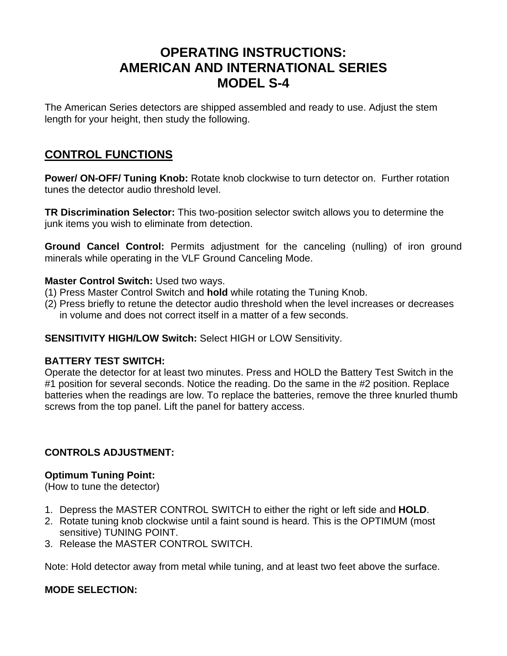# **OPERATING INSTRUCTIONS: AMERICAN AND INTERNATIONAL SERIES MODEL S-4**

The American Series detectors are shipped assembled and ready to use. Adjust the stem length for your height, then study the following.

## **CONTROL FUNCTIONS**

**Power/ ON-OFF/ Tuning Knob:** Rotate knob clockwise to turn detector on. Further rotation tunes the detector audio threshold level.

**TR Discrimination Selector:** This two-position selector switch allows you to determine the junk items you wish to eliminate from detection.

**Ground Cancel Control:** Permits adjustment for the canceling (nulling) of iron ground minerals while operating in the VLF Ground Canceling Mode.

#### **Master Control Switch:** Used two ways.

- (1) Press Master Control Switch and **hold** while rotating the Tuning Knob.
- (2) Press briefly to retune the detector audio threshold when the level increases or decreases in volume and does not correct itself in a matter of a few seconds.

#### **SENSITIVITY HIGH/LOW Switch:** Select HIGH or LOW Sensitivity.

#### **BATTERY TEST SWITCH:**

Operate the detector for at least two minutes. Press and HOLD the Battery Test Switch in the #1 position for several seconds. Notice the reading. Do the same in the #2 position. Replace batteries when the readings are low. To replace the batteries, remove the three knurled thumb screws from the top panel. Lift the panel for battery access.

#### **CONTROLS ADJUSTMENT:**

#### **Optimum Tuning Point:**

(How to tune the detector)

- 1. Depress the MASTER CONTROL SWITCH to either the right or left side and **HOLD**.
- 2. Rotate tuning knob clockwise until a faint sound is heard. This is the OPTIMUM (most sensitive) TUNING POINT.
- 3. Release the MASTER CONTROL SWITCH.

Note: Hold detector away from metal while tuning, and at least two feet above the surface.

#### **MODE SELECTION:**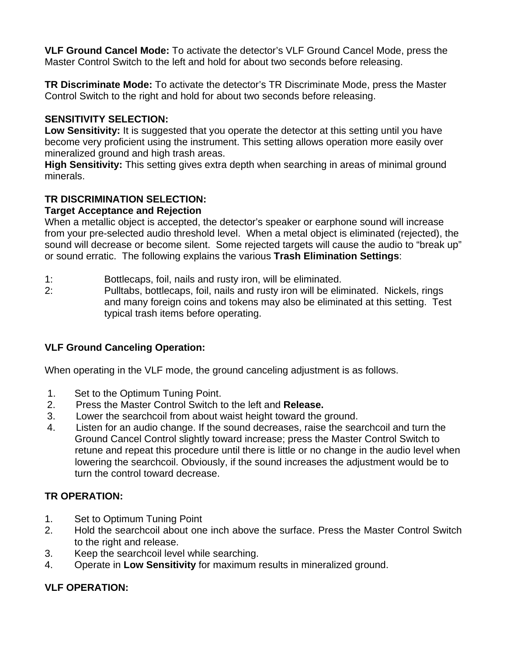**VLF Ground Cancel Mode:** To activate the detector's VLF Ground Cancel Mode, press the Master Control Switch to the left and hold for about two seconds before releasing.

**TR Discriminate Mode:** To activate the detector's TR Discriminate Mode, press the Master Control Switch to the right and hold for about two seconds before releasing.

### **SENSITIVITY SELECTION:**

**Low Sensitivity:** It is suggested that you operate the detector at this setting until you have become very proficient using the instrument. This setting allows operation more easily over mineralized ground and high trash areas.

**High Sensitivity:** This setting gives extra depth when searching in areas of minimal ground minerals.

### **TR DISCRIMINATION SELECTION:**

### **Target Acceptance and Rejection**

When a metallic object is accepted, the detector's speaker or earphone sound will increase from your pre-selected audio threshold level. When a metal object is eliminated (rejected), the sound will decrease or become silent. Some rejected targets will cause the audio to "break up" or sound erratic. The following explains the various **Trash Elimination Settings**:

- 1: Bottlecaps, foil, nails and rusty iron, will be eliminated.
- 2: Pulltabs, bottlecaps, foil, nails and rusty iron will be eliminated. Nickels, rings and many foreign coins and tokens may also be eliminated at this setting. Test typical trash items before operating.

### **VLF Ground Canceling Operation:**

When operating in the VLF mode, the ground canceling adjustment is as follows.

- 1. Set to the Optimum Tuning Point.
- 2. Press the Master Control Switch to the left and **Release.**
- 3. Lower the searchcoil from about waist height toward the ground.
- 4. Listen for an audio change. If the sound decreases, raise the searchcoil and turn the Ground Cancel Control slightly toward increase; press the Master Control Switch to retune and repeat this procedure until there is little or no change in the audio level when lowering the searchcoil. Obviously, if the sound increases the adjustment would be to turn the control toward decrease.

#### **TR OPERATION:**

- 1. Set to Optimum Tuning Point
- 2. Hold the searchcoil about one inch above the surface. Press the Master Control Switch to the right and release.
- 3. Keep the searchcoil level while searching.
- 4. Operate in **Low Sensitivity** for maximum results in mineralized ground.

#### **VLF OPERATION:**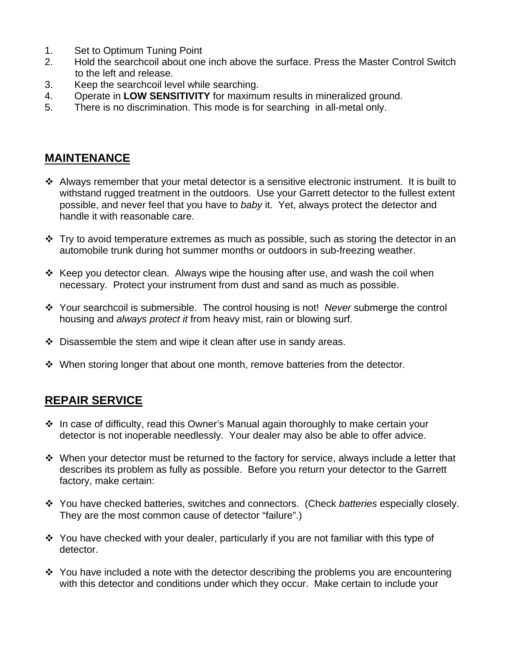- 1. Set to Optimum Tuning Point
- 2. Hold the searchcoil about one inch above the surface. Press the Master Control Switch to the left and release.
- 3. Keep the searchcoil level while searching.
- 4. Operate in **LOW SENSITIVITY** for maximum results in mineralized ground.
- 5. There is no discrimination. This mode is for searching in all-metal only.

## **MAINTENANCE**

- Always remember that your metal detector is a sensitive electronic instrument. It is built to withstand rugged treatment in the outdoors. Use your Garrett detector to the fullest extent possible, and never feel that you have to *baby* it. Yet, always protect the detector and handle it with reasonable care.
- $\cdot$  Try to avoid temperature extremes as much as possible, such as storing the detector in an automobile trunk during hot summer months or outdoors in sub-freezing weather.
- $\cdot$  Keep you detector clean. Always wipe the housing after use, and wash the coil when necessary. Protect your instrument from dust and sand as much as possible.
- Your searchcoil is submersible. The control housing is not! *Never* submerge the control housing and *always protect it* from heavy mist, rain or blowing surf.
- Disassemble the stem and wipe it clean after use in sandy areas.
- ◆ When storing longer that about one month, remove batteries from the detector.

## **REPAIR SERVICE**

- ❖ In case of difficulty, read this Owner's Manual again thoroughly to make certain your detector is not inoperable needlessly. Your dealer may also be able to offer advice.
- When your detector must be returned to the factory for service, always include a letter that describes its problem as fully as possible. Before you return your detector to the Garrett factory, make certain:
- You have checked batteries, switches and connectors. (Check *batteries* especially closely. They are the most common cause of detector "failure".)
- You have checked with your dealer, particularly if you are not familiar with this type of detector.
- $\div$  You have included a note with the detector describing the problems you are encountering with this detector and conditions under which they occur. Make certain to include your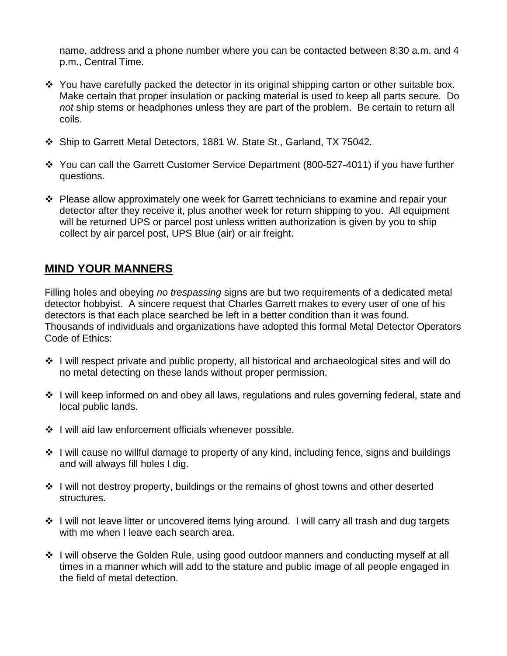name, address and a phone number where you can be contacted between 8:30 a.m. and 4 p.m., Central Time.

- \* You have carefully packed the detector in its original shipping carton or other suitable box. Make certain that proper insulation or packing material is used to keep all parts secure. Do *not* ship stems or headphones unless they are part of the problem. Be certain to return all coils.
- Ship to Garrett Metal Detectors, 1881 W. State St., Garland, TX 75042.
- You can call the Garrett Customer Service Department (800-527-4011) if you have further questions.
- $\cdot \cdot$  Please allow approximately one week for Garrett technicians to examine and repair your detector after they receive it, plus another week for return shipping to you. All equipment will be returned UPS or parcel post unless written authorization is given by you to ship collect by air parcel post, UPS Blue (air) or air freight.

### **MIND YOUR MANNERS**

Filling holes and obeying *no trespassing* signs are but two requirements of a dedicated metal detector hobbyist. A sincere request that Charles Garrett makes to every user of one of his detectors is that each place searched be left in a better condition than it was found. Thousands of individuals and organizations have adopted this formal Metal Detector Operators Code of Ethics:

- I will respect private and public property, all historical and archaeological sites and will do no metal detecting on these lands without proper permission.
- ❖ I will keep informed on and obey all laws, regulations and rules governing federal, state and local public lands.
- $\div$  I will aid law enforcement officials whenever possible.
- ❖ I will cause no willful damage to property of any kind, including fence, signs and buildings and will always fill holes I dig.
- I will not destroy property, buildings or the remains of ghost towns and other deserted structures.
- ❖ I will not leave litter or uncovered items lying around. I will carry all trash and dug targets with me when I leave each search area.
- ❖ I will observe the Golden Rule, using good outdoor manners and conducting myself at all times in a manner which will add to the stature and public image of all people engaged in the field of metal detection.